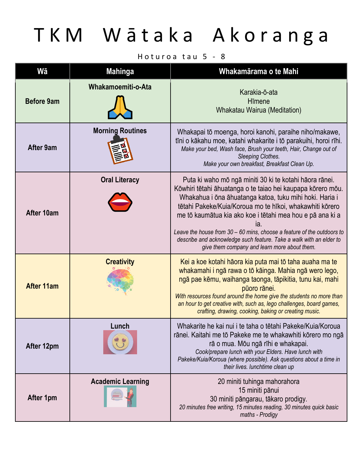# TKM Wātaka Akoranga

### Hoturoa tau  $5 - 8$

| Wā                | <b>Mahinga</b>           | Whakamārama o te Mahi                                                                                                                                                                                                                                                                                                                                                                                                                                                                                                |
|-------------------|--------------------------|----------------------------------------------------------------------------------------------------------------------------------------------------------------------------------------------------------------------------------------------------------------------------------------------------------------------------------------------------------------------------------------------------------------------------------------------------------------------------------------------------------------------|
| <b>Before 9am</b> | Whakamoemiti-o-Ata       | Karakia-ō-ata<br>Hīmene<br>Whakatau Wairua (Meditation)                                                                                                                                                                                                                                                                                                                                                                                                                                                              |
| <b>After 9am</b>  | <b>Morning Routines</b>  | Whakapai tō moenga, horoi kanohi, paraihe niho/makawe,<br>tīni o kākahu moe, katahi whakarite i tō parakuihi, horoi rīhi.<br>Make your bed, Wash face, Brush your teeth, Hair, Change out of<br>Sleeping Clothes.<br>Make your own breakfast, Breakfast Clean Up.                                                                                                                                                                                                                                                    |
| After 10am        | <b>Oral Literacy</b>     | Puta ki waho mō ngā miniti 30 ki te kotahi hāora rānei.<br>Kōwhiri tētahi āhuatanga o te taiao hei kaupapa kōrero mōu.<br>Whakahua i ōna āhuatanga katoa, tuku mihi hoki. Haria i<br>tētahi Pakeke/Kuia/Koroua mo te hīkoi, whakawhiti kōrero<br>me tō kaumātua kia ako koe i tētahi mea hou e pā ana ki a<br>ıa.<br>Leave the house from $30 - 60$ mins, choose a feature of the outdoors to<br>describe and acknowledge such feature. Take a walk with an elder to<br>give them company and learn more about them. |
| <b>After 11am</b> | <b>Creativity</b>        | Kei a koe kotahi hāora kia puta mai tō taha auaha ma te<br>whakamahi i ngā rawa o tō kāinga. Mahia ngā wero lego,<br>ngā pae kēmu, waihanga taonga, tāpikitia, tunu kai, mahi<br>pūoro rānei.<br>With resources found around the home give the students no more than<br>an hour to get creative with, such as, lego challenges, board games,<br>crafting, drawing, cooking, baking or creating music.                                                                                                                |
| After 12pm        | Lunch                    | Whakarite he kai nui i te taha o tētahi Pakeke/Kuia/Koroua<br>rānei. Kaitahi me tō Pakeke me te whakawhiti kōrero mo ngā<br>rā o mua. Mōu ngā rīhi e whakapai.<br>Cook/prepare lunch with your Elders. Have lunch with<br>Pakeke/Kuia/Koroua (where possible). Ask questions about a time in<br>their lives. lunchtime clean up                                                                                                                                                                                      |
| After 1pm         | <b>Academic Learning</b> | 20 miniti tuhinga mahorahora<br>15 miniti pānui<br>30 miniti pāngarau, tākaro prodigy.<br>20 minutes free writing, 15 minutes reading, 30 minutes quick basic<br>maths - Prodigy                                                                                                                                                                                                                                                                                                                                     |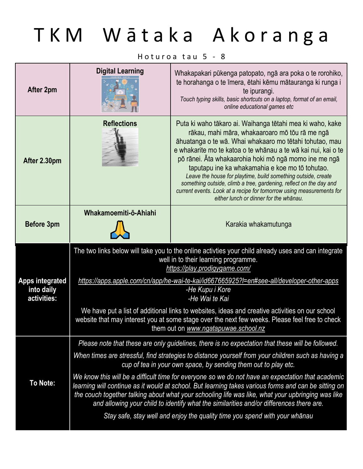## TKM Wātaka Akoranga

Hoturoa tau  $5 - 8$ 

| After 2pm                                           | <b>Digital Learning</b>                                                                                                                                                      | Whakapakari pūkenga patopato, ngā ara poka o te rorohiko,<br>te horahanga o te īmera, ētahi kēmu mātauranga ki runga i<br>te ipurangi.<br>Touch typing skills, basic shortcuts on a laptop, format of an email,<br>online educational games etc                                                                                                                                                                                                                                                                                                                                                              |
|-----------------------------------------------------|------------------------------------------------------------------------------------------------------------------------------------------------------------------------------|--------------------------------------------------------------------------------------------------------------------------------------------------------------------------------------------------------------------------------------------------------------------------------------------------------------------------------------------------------------------------------------------------------------------------------------------------------------------------------------------------------------------------------------------------------------------------------------------------------------|
| After 2.30pm                                        | <b>Reflections</b>                                                                                                                                                           | Puta ki waho tākaro ai. Waihanga tētahi mea ki waho, kake<br>rākau, mahi māra, whakaaroaro mō tōu rā me ngā<br>āhuatanga o te wā. Whai whakaaro mo tētahi tohutao, mau<br>e whakarite mo te katoa o te whānau a te wā kai nui, kai o te<br>pō rānei. Āta whakaarohia hoki mō ngā momo ine me ngā<br>taputapu ine ka whakamahia e koe mo tō tohutao.<br>Leave the house for playtime, build something outside, create<br>something outside, climb a tree, gardening, reflect on the day and<br>current events. Look at a recipe for tomorrow using measurements for<br>either lunch or dinner for the whānau. |
| Before 3pm                                          | Whakamoemiti-ō-Ahiahi                                                                                                                                                        | Karakia whakamutunga                                                                                                                                                                                                                                                                                                                                                                                                                                                                                                                                                                                         |
|                                                     | The two links below will take you to the online activties your child already uses and can integrate<br>well in to their learning programme.<br>https://play.prodigygame.com/ |                                                                                                                                                                                                                                                                                                                                                                                                                                                                                                                                                                                                              |
|                                                     |                                                                                                                                                                              |                                                                                                                                                                                                                                                                                                                                                                                                                                                                                                                                                                                                              |
| <b>Apps integrated</b><br>into daily<br>activities: |                                                                                                                                                                              | https://apps.apple.com/cn/app/he-wai-te-kai/id667665925?l=en#see-all/developer-other-apps<br>-He Kupu i Kore<br>-He Wai te Kai                                                                                                                                                                                                                                                                                                                                                                                                                                                                               |
|                                                     |                                                                                                                                                                              | We have put a list of additional links to websites, ideas and creative activities on our school<br>website that may interest you at some stage over the next few weeks. Please feel free to check<br>them out on www.ngatapuwae.school.nz                                                                                                                                                                                                                                                                                                                                                                    |
|                                                     |                                                                                                                                                                              | Please note that these are only guidelines, there is no expectation that these will be followed.                                                                                                                                                                                                                                                                                                                                                                                                                                                                                                             |
|                                                     |                                                                                                                                                                              | When times are stressful, find strategies to distance yourself from your children such as having a<br>cup of tea in your own space, by sending them out to play etc.                                                                                                                                                                                                                                                                                                                                                                                                                                         |
| To Note:                                            |                                                                                                                                                                              | We know this will be a difficult time for everyone so we do not have an expectation that academic<br>learning will continue as it would at school. But learning takes various forms and can be sitting on<br>the couch together talking about what your schooling life was like, what your upbringing was like<br>and allowing your child to identify what the similarities and/or differences there are.                                                                                                                                                                                                    |